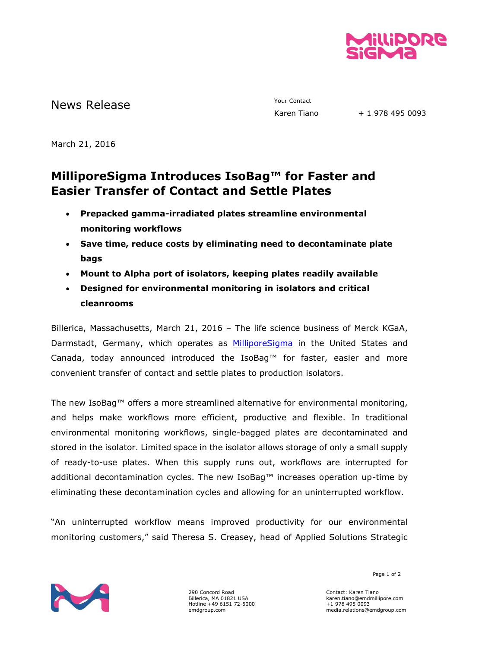

News Release The Contact Terms of the Mews Release Tiano

+ 1 978 495 0093

March 21, 2016

## **MilliporeSigma Introduces IsoBag™ for Faster and Easier Transfer of Contact and Settle Plates**

- **Prepacked gamma-irradiated plates streamline environmental monitoring workflows**
- **Save time, reduce costs by eliminating need to decontaminate plate bags**
- **Mount to Alpha port of isolators, keeping plates readily available**
- **Designed for environmental monitoring in isolators and critical cleanrooms**

Billerica, Massachusetts, March 21, 2016 – The life science business of Merck KGaA, Darmstadt, Germany, which operates as [MilliporeSigma](http://www.emdgroup.com/emd/products/life_science/life_science.html) in the United States and Canada, today announced introduced the IsoBag™ for faster, easier and more convenient transfer of contact and settle plates to production isolators.

The new IsoBag™ offers a more streamlined alternative for environmental monitoring, and helps make workflows more efficient, productive and flexible. In traditional environmental monitoring workflows, single-bagged plates are decontaminated and stored in the isolator. Limited space in the isolator allows storage of only a small supply of ready-to-use plates. When this supply runs out, workflows are interrupted for additional decontamination cycles. The new IsoBag™ increases operation up-time by eliminating these decontamination cycles and allowing for an uninterrupted workflow.

"An uninterrupted workflow means improved productivity for our environmental monitoring customers," said Theresa S. Creasey, head of Applied Solutions Strategic



290 Concord Road Billerica, MA 01821 USA Hotline +49 6151 72-5000 emdgroup.com

Page 1 of 2

Contact: Karen Tiano karen.tiano@emdmillipore.com +1 978 495 0093 media.relations@emdgroup.com